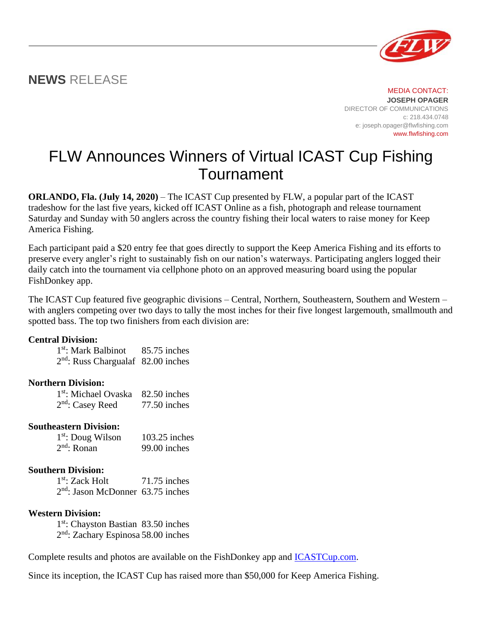# **NEWS** RELEASE

MEDIA CONTACT: **JOSEPH OPAGER** DIRECTOR OF COMMUNICATIONS c: 218.434.0748 e: joseph.opager@flwfishing.com www.flwfishing.com

# FLW Announces Winners of Virtual ICAST Cup Fishing Tournament

**ORLANDO, Fla. (July 14, 2020)** – The ICAST Cup presented by FLW, a popular part of the ICAST tradeshow for the last five years, kicked off ICAST Online as a fish, photograph and release tournament Saturday and Sunday with 50 anglers across the country fishing their local waters to raise money for Keep America Fishing.

Each participant paid a \$20 entry fee that goes directly to support the Keep America Fishing and its efforts to preserve every angler's right to sustainably fish on our nation's waterways. Participating anglers logged their daily catch into the tournament via cellphone photo on an approved measuring board using the popular FishDonkey app.

The ICAST Cup featured five geographic divisions – Central, Northern, Southeastern, Southern and Western – with anglers competing over two days to tally the most inches for their five longest largemouth, smallmouth and spotted bass. The top two finishers from each division are:

#### **Central Division:**

1<sup>st</sup>: Mark Balbinot 85.75 inches 2 nd: Russ Chargualaf 82.00 inches

## **Northern Division:**

1<sup>st</sup>: Michael Ovaska 82.50 inches 2<sup>nd</sup>: Casey Reed 77.50 inches

## **Southeastern Division:**

1<sup>st</sup>: Doug Wilson 103.25 inches  $2<sup>nd</sup>$ : Ronan  $99.00$  inches

## **Southern Division:**

1<sup>st</sup>: Zack Holt 71.75 inches 2 nd: Jason McDonner 63.75 inches

#### **Western Division:**

1<sup>st</sup>: Chayston Bastian 83.50 inches 2<sup>nd</sup>: Zachary Espinosa 58.00 inches

Complete results and photos are available on the FishDonkey app and **ICASTCup.com**.

Since its inception, the ICAST Cup has raised more than \$50,000 for Keep America Fishing.